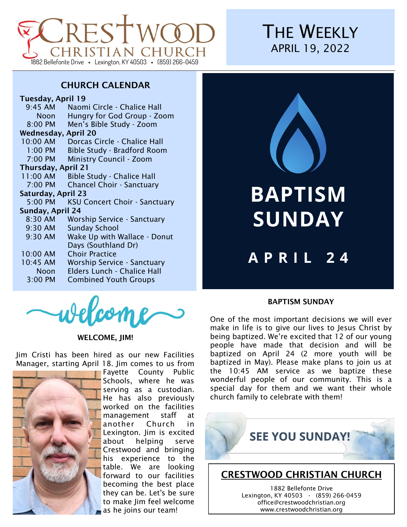

# **THE WEEKLY** APRIL 19, 2022

# CHURCH CALENDAR

#### Tuesday, April 19

| $9:45$ AM                  | Naomi Circle - Chalice Hall          |
|----------------------------|--------------------------------------|
|                            |                                      |
| Noon                       | Hungry for God Group - Zoom          |
| 8:00 PM                    | Men's Bible Study - Zoom             |
| <b>Wednesday, April 20</b> |                                      |
| 10:00 AM                   | Dorcas Circle - Chalice Hall         |
| $1:00$ PM                  | <b>Bible Study - Bradford Room</b>   |
| 7:00 PM                    | <b>Ministry Council - Zoom</b>       |
| <b>Thursday, April 21</b>  |                                      |
| 11:00 AM                   | <b>Bible Study - Chalice Hall</b>    |
| 7:00 PM                    | <b>Chancel Choir - Sanctuary</b>     |
| Saturday, April 23         |                                      |
| 5:00 PM                    | <b>KSU Concert Choir - Sanctuary</b> |
| Sunday, April 24           |                                      |
| 8:30 AM                    | Worship Service - Sanctuary          |
| 9:30 AM                    | <b>Sunday School</b>                 |
| 9:30 AM                    | Wake Up with Wallace - Donut         |
|                            | Days (Southland Dr)                  |
| 10:00 AM                   | <b>Choir Practice</b>                |
| 10:45 AM                   | <b>Worship Service - Sanctuary</b>   |
| Noon                       | Elders Lunch - Chalice Hall          |
| 3:00 PM                    | <b>Combined Youth Groups</b>         |
|                            |                                      |



#### WELCOME, JIM!

Jim Cristi has been hired as our new Facilities Manager, starting April 18. Jim comes to us from



Fayette County Public Schools, where he was serving as a custodian. He has also previously worked on the facilities management staff at another Church in Lexington. Jim is excited about helping serve Crestwood and bringing his experience to the table. We are looking forward to our facilities becoming the best place they can be. Let's be sure to make Jim feel welcome as he joins our team!



# **BAPTISM SUNDAY**

# APRIL 24

#### BAPTISM SUNDAY

One of the most important decisions we will ever make in life is to give our lives to Jesus Christ by being baptized. We're excited that 12 of our young people have made that decision and will be baptized on April 24 (2 more youth will be baptized in May). Please make plans to join us at the 10:45 AM service as we baptize these wonderful people of our community. This is a special day for them and we want their whole church family to celebrate with them!



Lexington, KY 40503 **·** (859) 266-0459 office@crestwoodchristian.org www.crestwoodchristian.org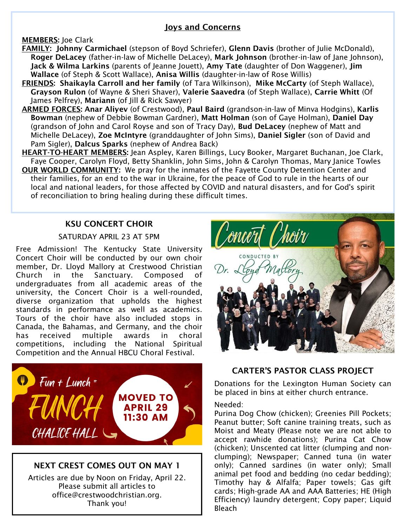### Joys and Concerns

#### MEMBERS: Joe Clark

- FAMILY: Johnny Carmichael (stepson of Boyd Schriefer), Glenn Davis (brother of Julie McDonald), Roger DeLacey (father-in-law of Michelle DeLacey), Mark Johnson (brother-in-law of Jane Johnson), Jack & Wilma Larkins (parents of Jeanne Jouett), Amy Tate (daughter of Don Waggener), Jim Wallace (of Steph & Scott Wallace), Anisa Willis (daughter-in-law of Rose Willis)
- FRIENDS: Shaikayla Carroll and her family (of Tara Wilkinson), Mike McCarty (of Steph Wallace), Grayson Rulon (of Wayne & Sheri Shaver), Valerie Saavedra (of Steph Wallace), Carrie Whitt (Of James Pelfrey), Mariann (of Jill & Rick Sawyer)
- ARMED FORCES: Anar Aliyev (of Crestwood), Paul Baird (grandson-in-law of Minva Hodgins), Karlis Bowman (nephew of Debbie Bowman Gardner), Matt Holman (son of Gaye Holman), Daniel Day (grandson of John and Carol Royse and son of Tracy Day), Bud DeLacey (nephew of Matt and Michelle DeLacey), Zoe McIntyre (granddaughter of John Sims), Daniel Sigler (son of David and Pam Sigler), Dalcus Sparks (nephew of Andrea Back)
- HEART-TO-HEART MEMBERS: Jean Aspley, Karen Billings, Lucy Booker, Margaret Buchanan, Joe Clark, Faye Cooper, Carolyn Floyd, Betty Shanklin, John Sims, John & Carolyn Thomas, Mary Janice Towles

OUR WORLD COMMUNITY: We pray for the inmates of the Fayette County Detention Center and their families, for an end to the war in Ukraine, for the peace of God to rule in the hearts of our local and national leaders, for those affected by COVID and natural disasters, and for God's spirit of reconciliation to bring healing during these difficult times.

### KSU CONCERT CHOIR

#### SATURDAY APRIL 23 AT 5PM

Free Admission! The Kentucky State University Concert Choir will be conducted by our own choir member, Dr. Lloyd Mallory at Crestwood Christian Church in the Sanctuary. Composed of undergraduates from all academic areas of the university, the Concert Choir is a well-rounded, diverse organization that upholds the highest standards in performance as well as academics. Tours of the choir have also included stops in Canada, the Bahamas, and Germany, and the choir has received multiple awards in choral competitions, including the National Spiritual Competition and the Annual HBCU Choral Festival.



# NEXT CREST COMES OUT ON MAY 1

Articles are due by Noon on Friday, April 22. Please submit all articles to office@crestwoodchristian.org. Thank you!



### CARTER'S PASTOR CLASS PROJECT

Donations for the Lexington Human Society can be placed in bins at either church entrance.

#### Needed:

Purina Dog Chow (chicken); Greenies Pill Pockets; Peanut butter; Soft canine training treats, such as Moist and Meaty (Please note we are not able to accept rawhide donations); Purina Cat Chow (chicken); Unscented cat litter (clumping and nonclumping); Newspaper; Canned tuna (in water only); Canned sardines (in water only); Small animal pet food and bedding (no cedar bedding); Timothy hay & Alfalfa; Paper towels; Gas gift cards; High-grade AA and AAA Batteries; HE (High Efficiency) laundry detergent; Copy paper; Liquid Bleach